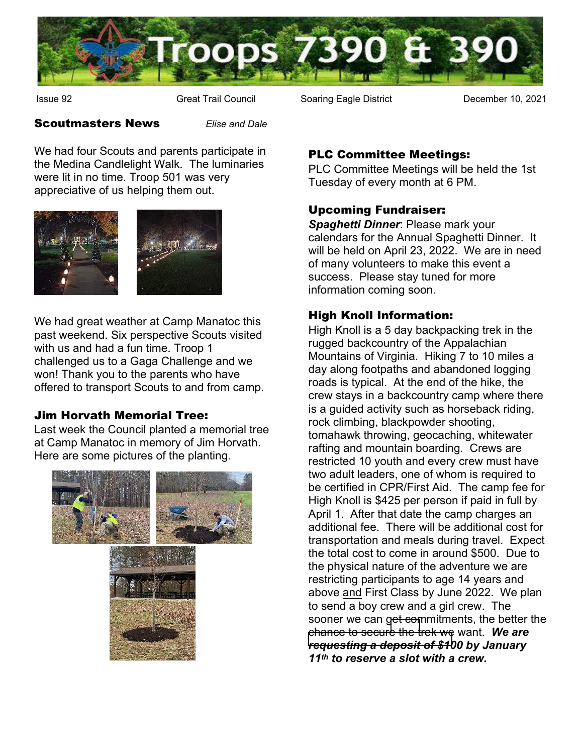

Issue 92 **Great Trail Council** Soaring Eagle District **Communist Constant Occupy** December 10, 2021

#### Scoutmasters News *Elise and Dale*

We had four Scouts and parents participate in the Medina Candlelight Walk. The luminaries were lit in no time. Troop 501 was very appreciative of us helping them out.



We had great weather at Camp Manatoc this past weekend. Six perspective Scouts visited with us and had a fun time. Troop 1 [challenged us to a Gag](https://my.scouting.org/)a Challenge and we won! Thank you to the parents who have offered to transport Scouts to and from camp.

# Jim Horvath Memorial Tree:

Last week the Council planted a memorial tree at Camp Manatoc in memory of Jim Horvath. Here are some pictures of the planting.



# PLC Committee Meetings:

PLC Committee Meetings will be held the 1st Tuesday of every month at 6 PM.

# Upcoming Fundraiser:

*Spaghetti Dinner*: Please mark your calendars for the Annual Spaghetti Dinner. It will be held on April 23, 2022. We are in need of many volunteers to make this event a success. Please stay tuned for more information coming soon.

# High Knoll Information:

High Knoll is a 5 day backpacking trek in the rugged backcountry of the Appalachian Mountains of Virginia. Hiking 7 to 10 miles a day along footpaths and abandoned logging roads is typical. At the end of the hike, the crew stays in a backcountry camp where there is a guided activity such as horseback riding, rock climbing, blackpowder shooting, tomahawk throwing, geocaching, whitewater rafting and mountain boarding. Crews are restricted 10 youth and every crew must have two adult leaders, one of whom is required to be certified in CPR/First Aid. The camp fee for High Knoll is \$425 per person if paid in full by April 1. After that date the camp charges an additional fee. There will be additional cost for transportation and meals during travel. Expect the total cost to come in around \$500. Due to the physical nature of the adventure we are restricting participants to age 14 years and above and First Class by June 2022. We plan to send a boy crew and a girl crew. The sooner we can [get com](http://www.mainstreetmedina.com)mitments, the better the [chance to secure the trek we](http://www.mainstreetmedina.com) want. *We are requesting a deposit of \$100 by January 11th to reserve a slot with a crew.*